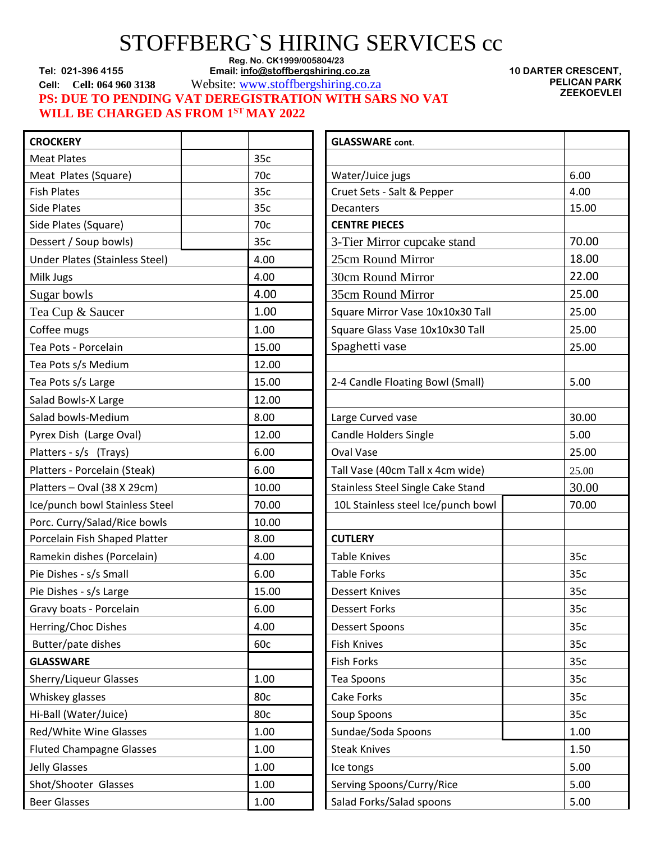## STOFFBERG`S HIRING SERVICES cc

Reg. No. CK1999/005804/23<br>**Email: info@stoffbergshiring.c** Email: Email: info@stoffbergshiring.c

**Tel: 021-396 4155 Email[: info@stoffbergshiring.co.za](mailto:info@stoffbergshiring.co.za)**

**Cell: Cell: 064 960 3138** Website: [www.stoffbergshiring.co.za](http://www.stoffbergshiring.co.za/)

**PS: DUE TO PENDING VAT DEREGISTRATION WITH SARS NO VAT WILL BE CHARGED AS FROM 1ST MAY 2022**

**10 DARTER CRESCENT, PELICAN PARK ZEEKOEVLEI**

| <b>CROCKERY</b>                 |       | <b>GLASSWARE</b> cont.             |       |
|---------------------------------|-------|------------------------------------|-------|
| <b>Meat Plates</b>              | 35c   |                                    |       |
| Meat Plates (Square)            | 70c   | Water/Juice jugs                   | 6.00  |
| <b>Fish Plates</b>              | 35c   | Cruet Sets - Salt & Pepper         | 4.00  |
| <b>Side Plates</b>              | 35c   | Decanters                          | 15.00 |
| Side Plates (Square)            | 70c   | <b>CENTRE PIECES</b>               |       |
| Dessert / Soup bowls)           | 35c   | 3-Tier Mirror cupcake stand        | 70.00 |
| Under Plates (Stainless Steel)  | 4.00  | 25cm Round Mirror                  | 18.00 |
| Milk Jugs                       | 4.00  | 30cm Round Mirror                  | 22.00 |
| Sugar bowls                     | 4.00  | 35cm Round Mirror                  | 25.00 |
| Tea Cup & Saucer                | 1.00  | Square Mirror Vase 10x10x30 Tall   | 25.00 |
| Coffee mugs                     | 1.00  | Square Glass Vase 10x10x30 Tall    | 25.00 |
| Tea Pots - Porcelain            | 15.00 | Spaghetti vase                     | 25.00 |
| Tea Pots s/s Medium             | 12.00 |                                    |       |
| Tea Pots s/s Large              | 15.00 | 2-4 Candle Floating Bowl (Small)   | 5.00  |
| Salad Bowls-X Large             | 12.00 |                                    |       |
| Salad bowls-Medium              | 8.00  | Large Curved vase                  | 30.00 |
| Pyrex Dish (Large Oval)         | 12.00 | <b>Candle Holders Single</b>       | 5.00  |
| Platters - s/s (Trays)          | 6.00  | Oval Vase                          | 25.00 |
| Platters - Porcelain (Steak)    | 6.00  | Tall Vase (40cm Tall x 4cm wide)   | 25.00 |
| Platters - Oval (38 X 29cm)     | 10.00 | Stainless Steel Single Cake Stand  | 30.00 |
| Ice/punch bowl Stainless Steel  | 70.00 | 10L Stainless steel Ice/punch bowl | 70.00 |
| Porc. Curry/Salad/Rice bowls    | 10.00 |                                    |       |
| Porcelain Fish Shaped Platter   | 8.00  | <b>CUTLERY</b>                     |       |
| Ramekin dishes (Porcelain)      | 4.00  | <b>Table Knives</b>                | 35c   |
| Pie Dishes - s/s Small          | 6.00  | <b>Table Forks</b>                 | 35c   |
| Pie Dishes - s/s Large          | 15.00 | <b>Dessert Knives</b>              | 35c   |
| Gravy boats - Porcelain         | 6.00  | <b>Dessert Forks</b>               | 35c   |
| Herring/Choc Dishes             | 4.00  | Dessert Spoons                     | 35c   |
| Butter/pate dishes              | 60c   | <b>Fish Knives</b>                 | 35c   |
| <b>GLASSWARE</b>                |       | Fish Forks                         | 35c   |
| Sherry/Liqueur Glasses          | 1.00  | Tea Spoons                         | 35c   |
| Whiskey glasses                 | 80c   | Cake Forks                         | 35c   |
| Hi-Ball (Water/Juice)           | 80c   | Soup Spoons                        | 35c   |
| Red/White Wine Glasses          | 1.00  | Sundae/Soda Spoons                 | 1.00  |
| <b>Fluted Champagne Glasses</b> | 1.00  | <b>Steak Knives</b>                | 1.50  |
| <b>Jelly Glasses</b>            | 1.00  | Ice tongs                          | 5.00  |
| Shot/Shooter Glasses            | 1.00  | Serving Spoons/Curry/Rice          | 5.00  |
| <b>Beer Glasses</b>             | 1.00  | Salad Forks/Salad spoons           | 5.00  |